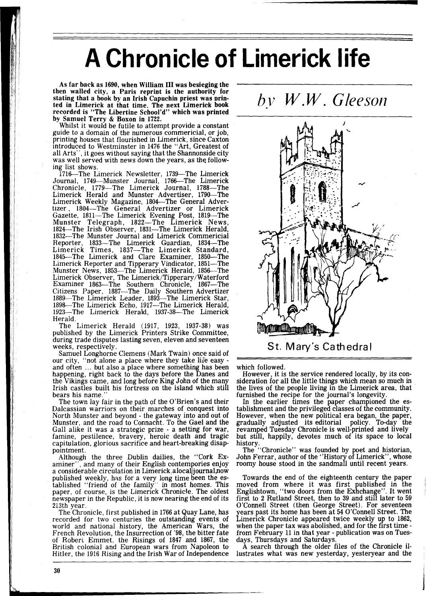## **A Chronicle of Limerick life**

As far back as 1690, when William I11 was besieging the then walled city, a Paris reprint is the authority for stating that a book by an Irish Capuchin priest was printed in Limerick at that time. The next Limerick book recorded is "The Libertine School'd" which was printed by Samuel Terry & Boxon in 1722.

Whilst it would be futile to attempt provide a constant guide to a domain of the numerous commericial, or job, printing houses that flourished in Limerick, since Caxton introduced to Westminster in 1476 the "Art, Greatest of all Arts", it goes without saying that the Shannonside city was well served with news down the years, as the following list shows.

1716—The Limerick Newsletter, 1739—The Limerick Journal, 1749-Munster Journal, 1766-The Limerick Chronicle, 1779-The Limerick Journal, 1788-The Limerick Herald and Munster Advertiser, 1790—Th Limerick Weekly Magazine, 1804-The General Advertizer, 1804-The General Advertizer or Limerick Gazette, 1811—The Limerick Evening Post, 1819—Th Munster Telegraph, 1822-The Limerick News, 1824—The Irish Observer, 1831—The Limerick Herald, 1832-The Munster Journal and Limerick Commericial Reporter, 1833—The Limerick Guardian, 1834—Th Limerick Times, 1837—The Limerick Standard, 1845—The Limerick and Clare Examiner, 1850—The Limerick Reporter and Tipperary Vindicator, 1851—Th Munster News, 1853-The Limerick Herald, 1856-The Limerick Observer, The Limerick/Tipperary/Waterford<br>Examiner 1863—The Southern Chronicle, 1867—The Citizens Paper, 1887-The Daily Southern Advertizer 1889-The Limerick Leader. 1893-The Limerick Star, 1898-The Limerick Echo, 1917-The Limerick Herald, 1923-The Limerick Herald, 1937-38-The Limerick Herald.

The Limerick Herald (1917, 1923, 1937-38) was published by the Limerick Printers Strike Committee, during trade disputes lasting seven, eleven and seventeen weeks, respectively.

Samuel Longhorne Clemens (Mark Twain) once said of our city, "not alone a place where they take life easy and often ... but also a place where something has been happening, right back to the days before the Danes and the Vikings came, and long before King John of the many Irish castles built his fortress on the island which still bears his name.

The town lay fair in the path of the O'Brien's and their Dalcassian warriors on their marches of conquest into North Munster and beyond - the gateway into and out of Munster, and the road to Connacht. To the Gael and the Gall alike it was a strategic prize - a setting for war, famine, pestilence, bravery, heroic death and tragic capitulation, glorious sacrifice and heart-breaking disappointment.

Although the three Dublin dailies, the "Cork Examiner", and many of their English contempories enjoy a considerable circulation in Limerick.alocal.journal.now published weekly, has for a very long time been the established "friend of the family" in most homes. This paper, of course, is the Limerick Chronicle. The oldest newspaper in the Republic, it is now nearing the end of its 213th year.

The Chronicle, first published in 1766 at Quay Lane, has recorded for two centuries the outstanding events of world and national history, the American Wars, the French Revolution, the Insurrection of '98, the bitter fate of Robert Emmet, the Risings of 1847 and 1867, tne British colonial and European wars from Napoleon to Hitler, the 1916 Rising and the Irish War of Independence





which followed.

However, it is the service rendered locally, by its consideration for all the little things which mean so much in the lives of the people living in the Limerick area, that furnished the recipe for the journal's longevity.

In the earlier times the paper championed the establishment and the privileged classes of the community. However, when the new political era began, the paper, gradually adjusted its editorial policy. To-day the revamped Tuesday Chronicle is well-printed and lively but still, happily, devotes much of its space to local history.

The "Chronicle" was founded by poet and historian, John Ferrar, author of the "History of Limerick", whose roomy house stood in the sandmall until recent years.

Towards the end of the eighteenth century the paper moved from where it was first published in the Englishtown, "two doors from the Exhchange". It went first to 2 Rutland Street, then to 39 and still later to 59 O'Connell Street (then George Street). For seventeen years past its home has been at 54 O'Connell Street. The Limerick Chronicle appeared twice weekly up to 1862, when the paper tax was abolished, and for the first time - from February 11 in that year - publication was on Tuesdays, Thursdays and Saturdays.

A search through the older files of the Chronicle illustrates what was new yesterday, yesteryear and the